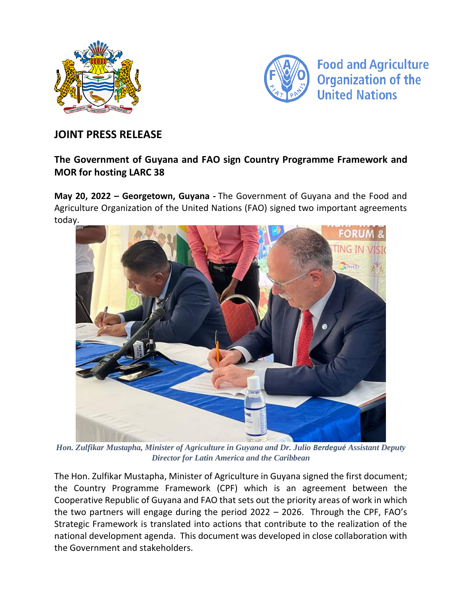



## **JOINT PRESS RELEASE**

## **The Government of Guyana and FAO sign Country Programme Framework and MOR for hosting LARC 38**

**May 20, 2022 – Georgetown, Guyana -** The Government of Guyana and the Food and Agriculture Organization of the United Nations (FAO) signed two important agreements today.



*Hon. Zulfikar Mustapha, Minister of Agriculture in Guyana and Dr. Julio Berdegué Assistant Deputy Director for Latin America and the Caribbean*

The Hon. Zulfikar Mustapha, Minister of Agriculture in Guyana signed the first document; the Country Programme Framework (CPF) which is an agreement between the Cooperative Republic of Guyana and FAO that sets out the priority areas of work in which the two partners will engage during the period 2022 – 2026. Through the CPF, FAO's Strategic Framework is translated into actions that contribute to the realization of the national development agenda. This document was developed in close collaboration with the Government and stakeholders.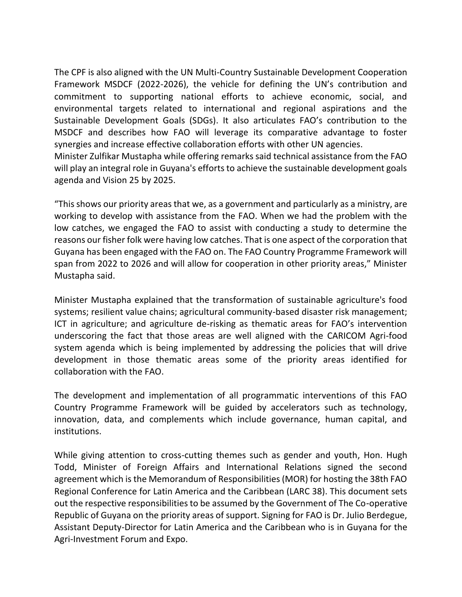The CPF is also aligned with the UN Multi-Country Sustainable Development Cooperation Framework MSDCF (2022-2026), the vehicle for defining the UN's contribution and commitment to supporting national efforts to achieve economic, social, and environmental targets related to international and regional aspirations and the Sustainable Development Goals (SDGs). It also articulates FAO's contribution to the MSDCF and describes how FAO will leverage its comparative advantage to foster synergies and increase effective collaboration efforts with other UN agencies.

Minister Zulfikar Mustapha while offering remarks said technical assistance from the FAO will play an integral role in Guyana's efforts to achieve the sustainable development goals agenda and Vision 25 by 2025.

"This shows our priority areas that we, as a government and particularly as a ministry, are working to develop with assistance from the FAO. When we had the problem with the low catches, we engaged the FAO to assist with conducting a study to determine the reasons our fisher folk were having low catches. That is one aspect of the corporation that Guyana has been engaged with the FAO on. The FAO Country Programme Framework will span from 2022 to 2026 and will allow for cooperation in other priority areas," Minister Mustapha said.

Minister Mustapha explained that the transformation of sustainable agriculture's food systems; resilient value chains; agricultural community-based disaster risk management; ICT in agriculture; and agriculture de-risking as thematic areas for FAO's intervention underscoring the fact that those areas are well aligned with the CARICOM Agri-food system agenda which is being implemented by addressing the policies that will drive development in those thematic areas some of the priority areas identified for collaboration with the FAO.

The development and implementation of all programmatic interventions of this FAO Country Programme Framework will be guided by accelerators such as technology, innovation, data, and complements which include governance, human capital, and institutions.

While giving attention to cross-cutting themes such as gender and youth, Hon. Hugh Todd, Minister of Foreign Affairs and International Relations signed the second agreement which is the Memorandum of Responsibilities (MOR) for hosting the 38th FAO Regional Conference for Latin America and the Caribbean (LARC 38). This document sets out the respective responsibilities to be assumed by the Government of The Co‑operative Republic of Guyana on the priority areas of support. Signing for FAO is Dr. Julio Berdegue, Assistant Deputy-Director for Latin America and the Caribbean who is in Guyana for the Agri-Investment Forum and Expo.